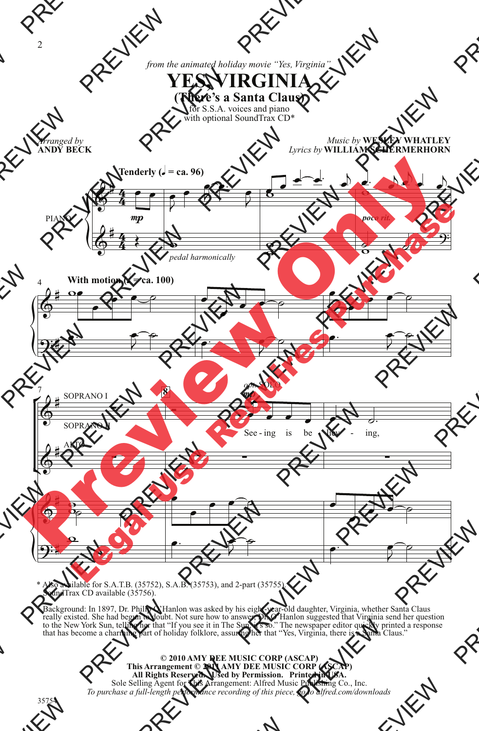*from the animated holiday movie "Yes, Virginia"*



for S.S.A. voices and piano with optional SoundTrax CD\*



SoundTrax CD available (35756).

 Background: In 1897, Dr. Philip O'Hanlon was asked by his eight-year-old daughter, Virginia, whether Santa Claus really existed. She had begun to doubt. Not sure how to answer, Dr. O'Hanlon suggested that Virginia send her question to the New York Sun, telling her that "If you see it in The Sun, it's so." The newspaper editor quickly printed a response that has become a charming part of holiday folklore, assuring her that "Yes, Virginia, there is a Santa Claus."

> **© 2010 AMY DEE MUSIC CORP (ASCAP) This Arrangement © 2011 AMY DEE MUSIC CORP (ASCAP) All Rights Reserved. Used by Permission. Printed in USA.** Sole Selling Agent for This Arrangement: Alfred Music Publishing Co., Inc. *To purchase a full-length performance recording of this piece, go to alfred.com/downloads*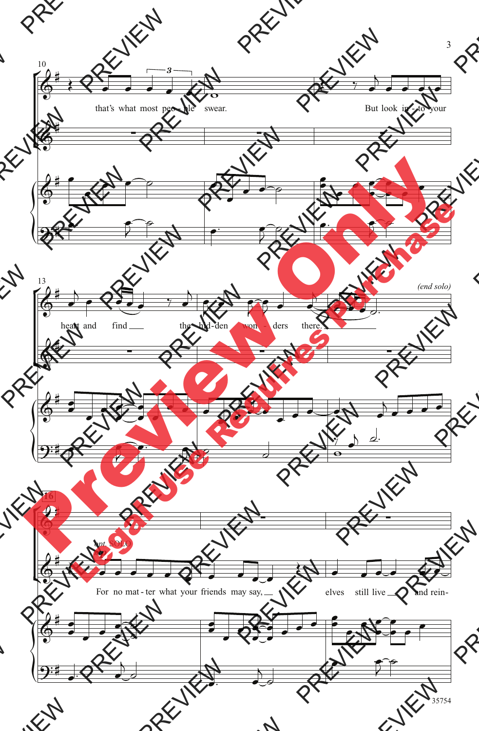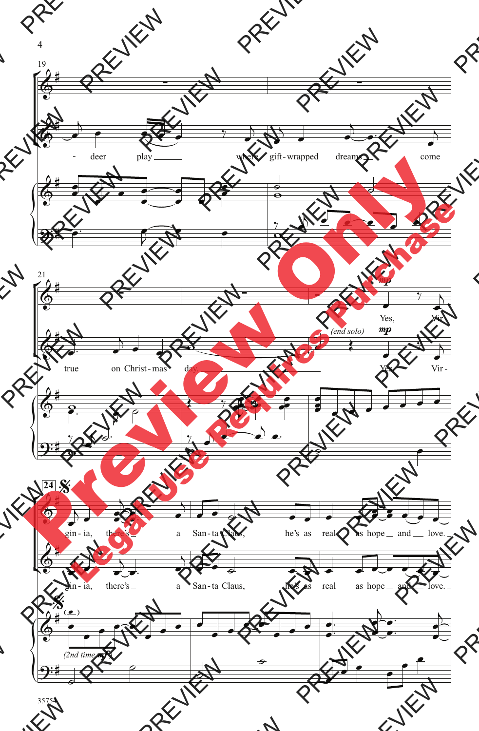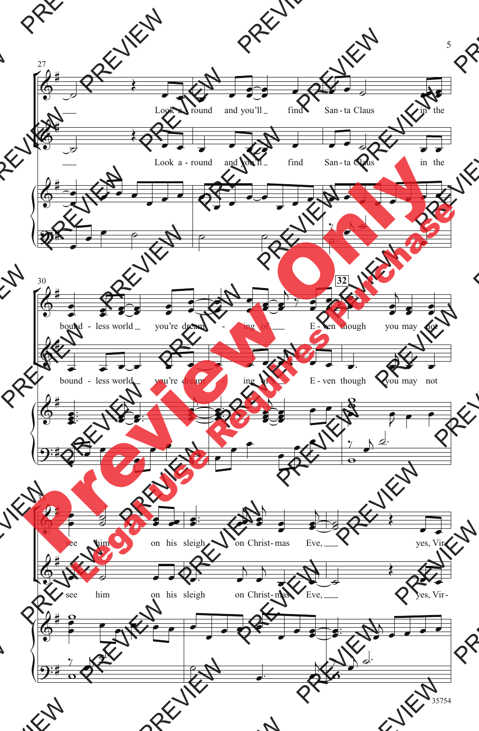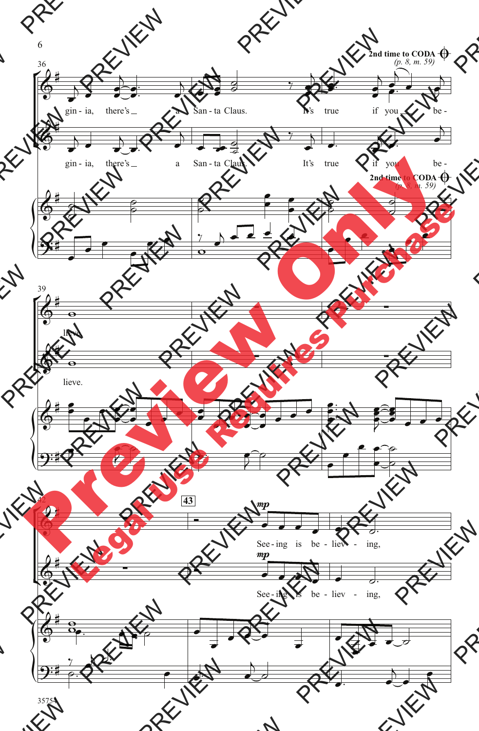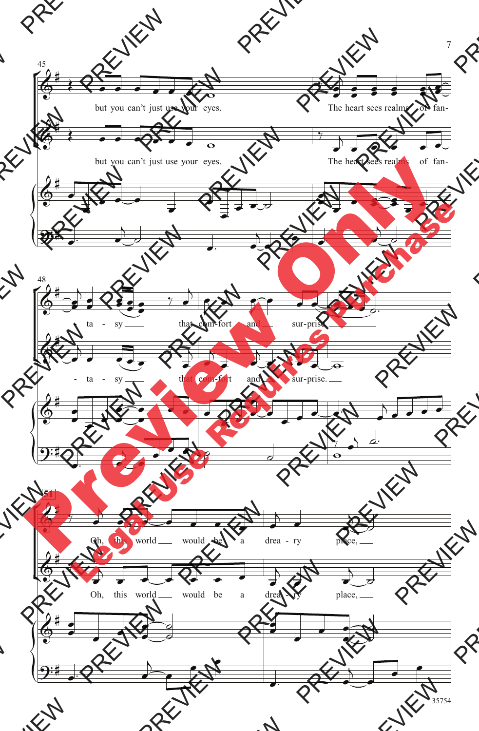

35754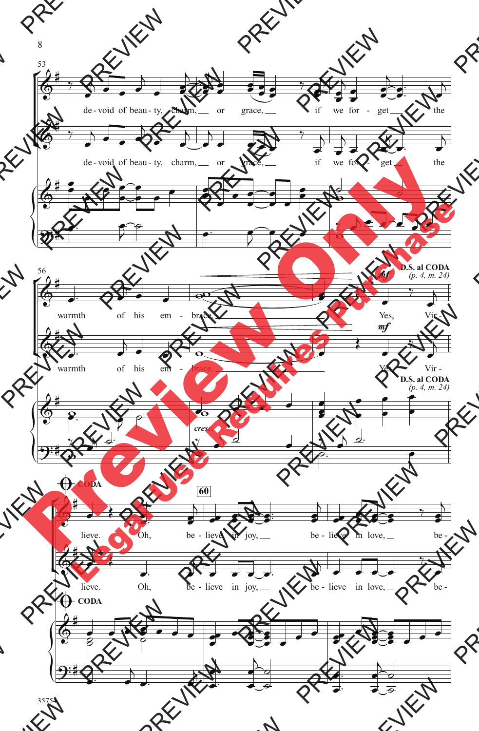

8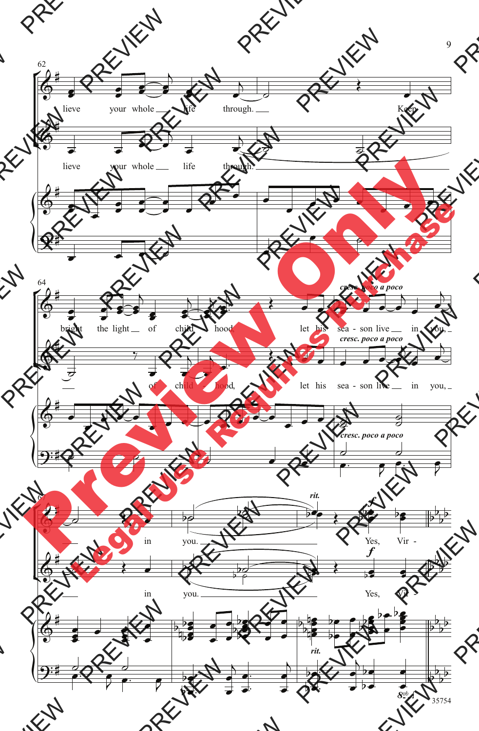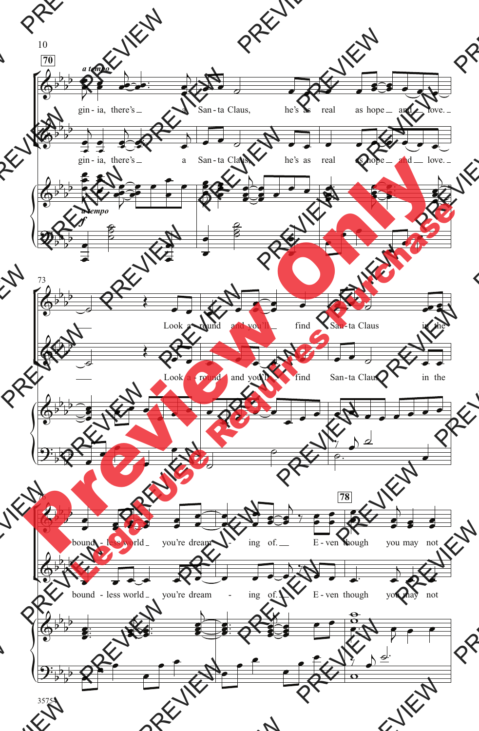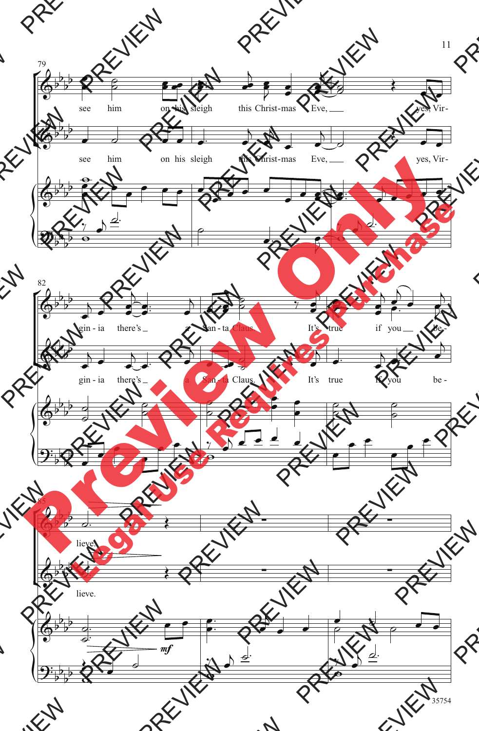